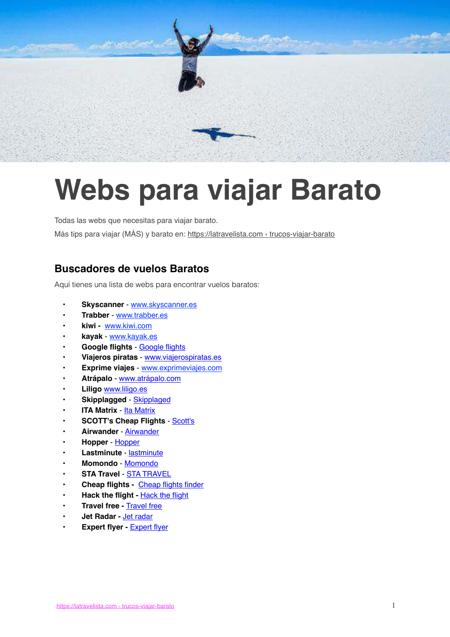

# **Webs para viajar Barato**

Todas las webs que necesitas para viajar barato. Más tips para viajar (MÁS) y barato en: [https://latravelista.com › trucos-viajar-barato](https://latravelista.com/trucos-viajar-barato/)

## **Buscadores de vuelos Baratos**

Aquí tienes una lista de webs para encontrar vuelos baratos:

- **Skyscanner** - [www.skyscanner.es](http://www.anrdoezrs.net/links/8302002/type/dlg/https://www.skyscanner.es/)
- **Trabber** [www.trabber.es](https://www.trabber.es/)
- **kiwi** [www.kiwi.com](http://www.kiwi.com/deep?affilid=hostelgeeks)
- **kayak** [www.kayak.es](https://www.kayak.es/)
- **Google flights** - [Google flights](https://www.google.es/flights/)
- **Viajeros piratas** - [www.viajerospiratas.es](https://www.viajerospiratas.es/)
- **Exprime viajes** [www.exprimeviajes.com](https://www.exprimeviajes.com/)
- **Atrápalo** - [www.atrápalo.com](https://www.atrapalo.com/)
- **Liligo** [www.liligo.es](http://www.liligo.es/)
- **Skipplagged** - [Skipplaged](https://skiplagged.com/)
- **ITA Matrix** - [Ita Matrix](https://matrix.itasoftware.com/)
- **SCOTT's Cheap Flights [Scott's](https://scottscheapflights.com/)**
- **Airwander** [Airwander](https://airwander.com/)
- **Hopper** [Hopper](https://www.hopper.com/)
- **Lastminute** - [lastminute](https://www.es.lastminute.com/)
- **Momondo** [Momondo](https://www.momondo.es/)
- **STA Travel** - [STA TRAVEL](https://www.statravel.co.uk/)
- **Cheap flights -** [Cheap flights finder](https://www.cheapflightsfinder.com/)
- **Hack the flight -** [Hack the flight](https://hacktheflight.net/)
- **Travel free -** [Travel free](https://travelfree.info/)
- **Jet Radar -** [Jet radar](http://www.jetradar.es/flights/)
- **[Expert flyer](https://www.expertflyer.com/) Expert flyer**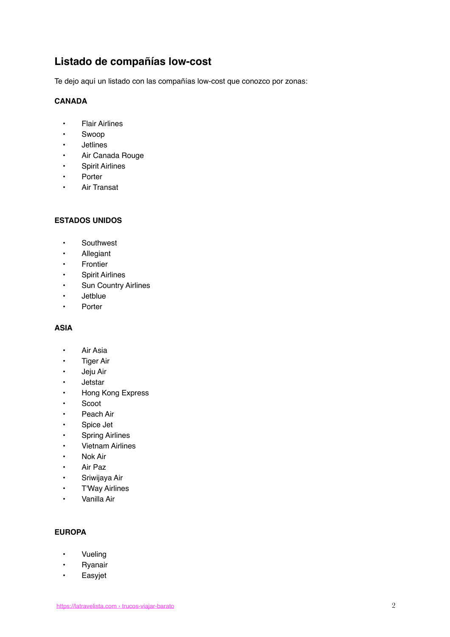## **Listado de compañías low-cost**

Te dejo aquí un listado con las compañías low-cost que conozco por zonas:

#### **CANADA**

- Flair Airlines
- Swoop
- Jetlines
- Air Canada Rouge
- Spirit Airlines
- • [Porter](https://www.flyporter.com/en-ca/)
- Air Transat

#### **ESTADOS UNIDOS**

- Southwest
- Allegiant
- Frontier
- Spirit Airlines
- Sun Country Airlines
- Jetblue
- Porter

#### **ASIA**

- Air Asia
- **Tiger Air**
- Jeju Air
- **Jetstar**
- Hong Kong Express
- Scoot
- Peach Air
- Spice Jet
- **Spring Airlines**
- • [Vietnam Airlines](https://www.vietnamairlines.com/)
- • [Nok Air](https://www.nokair.com/)
- • [Air Paz](https://www.airpaz.com/)
- • [Sriwijaya Air](https://www.sriwijayaair.co.id/)
- • [T'Way Airlines](https://www.twayair.com/)
- • [Vanilla Air](https://www.vanilla-air.com/)

#### **EUROPA**

- • [Vueling](https://www.vueling.com/)
- • [Ryanair](https://www.ryanair.com/)
- • [Easyjet](https://www.easyjet.com/)